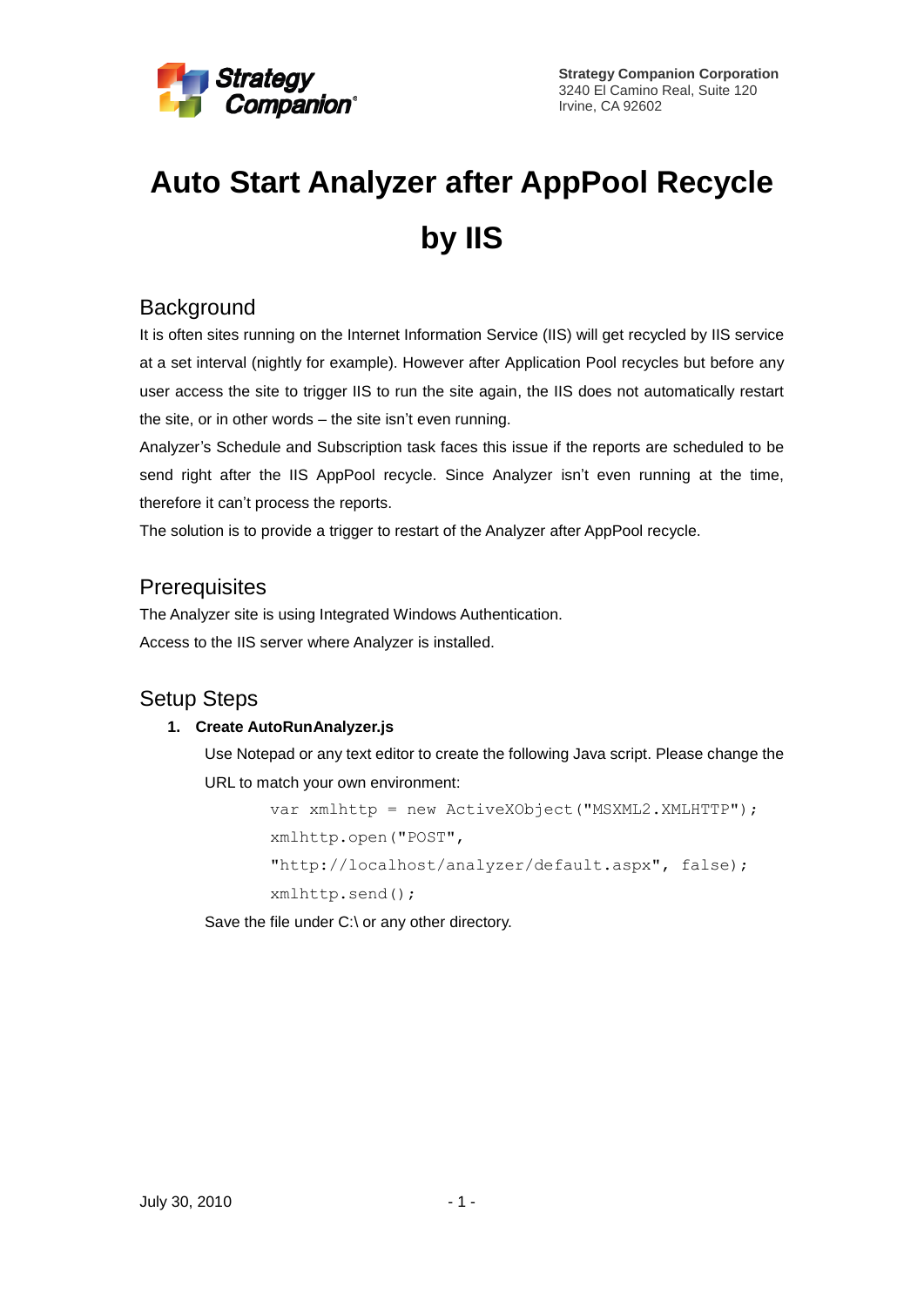

# **Auto Start Analyzer after AppPool Recycle by IIS**

## **Background**

It is often sites running on the Internet Information Service (IIS) will get recycled by IIS service at a set interval (nightly for example). However after Application Pool recycles but before any user access the site to trigger IIS to run the site again, the IIS does not automatically restart the site, or in other words – the site isn't even running.

Analyzer's Schedule and Subscription task faces this issue if the reports are scheduled to be send right after the IIS AppPool recycle. Since Analyzer isn't even running at the time, therefore it can't process the reports.

The solution is to provide a trigger to restart of the Analyzer after AppPool recycle.

## **Prerequisites**

The Analyzer site is using Integrated Windows Authentication. Access to the IIS server where Analyzer is installed.

## Setup Steps

### **1. Create AutoRunAnalyzer.js**

Use Notepad or any text editor to create the following Java script. Please change the URL to match your own environment:

```
var xmlhttp = new ActiveXObject("MSXML2.XMLHTTP");
xmlhttp.open("POST", 
"http://localhost/analyzer/default.aspx", false);
xmlhttp.send();
```
Save the file under C:\ or any other directory.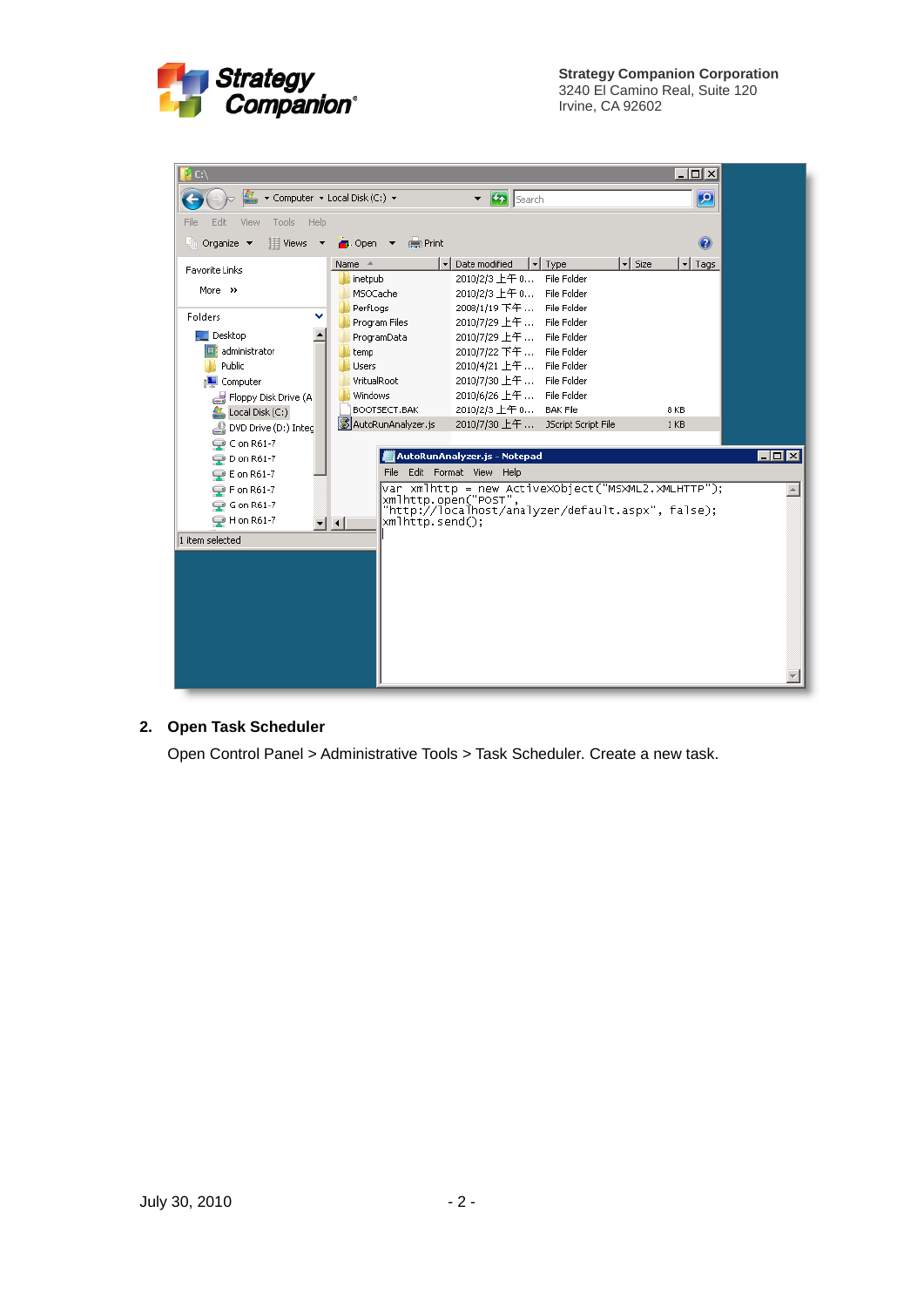

| i C:\                                 |                                |                                                                            |                                              |                               | $ \Box$ $\times$        |                       |
|---------------------------------------|--------------------------------|----------------------------------------------------------------------------|----------------------------------------------|-------------------------------|-------------------------|-----------------------|
|                                       | ▼ Computer ▼ Local Disk (C:) ▼ | $\bullet$ $\bullet$ Search                                                 |                                              |                               | $\mathbf{P}$            |                       |
| Tools Help<br>Edit.<br>View<br>File   |                                |                                                                            |                                              |                               |                         |                       |
| $\Box$ Organize $\blacktriangleright$ | Views ▼ ● Open ▼ ● Print       |                                                                            |                                              |                               | 0                       |                       |
| <b>Favorite Links</b>                 | Name $\triangleq$              | Date modified                                                              | $\overline{\phantom{a}}$ Type<br>File Folder | $\overline{\phantom{a}}$ Size | $\mathbf{r}$<br>Tags    |                       |
| More $\rightarrow$                    | inetpub<br>MSOCache            | 2010/2/3 上午 0<br>2010/2/3 上午 0 File Folder                                 |                                              |                               |                         |                       |
|                                       | PerfLogs                       | 2008/1/19 下午  File Folder                                                  |                                              |                               |                         |                       |
| Folders                               | Program Files                  | 2010/7/29 上午  File Folder                                                  |                                              |                               |                         |                       |
| Desktop                               | ProgramData                    | 2010/7/29 上午                                                               | File Folder                                  |                               |                         |                       |
| administrator                         | temp                           | 2010/7/22 下午 …                                                             | File Folder                                  |                               |                         |                       |
| Public                                | <b>Users</b>                   | 2010/4/21 上午                                                               | File Folder                                  |                               |                         |                       |
| Computer                              | VritualRoot                    | 2010/7/30 上午                                                               | File Folder                                  |                               |                         |                       |
| Floppy Disk Drive (A                  | <b>Windows</b><br>BOOTSECT.BAK | 2010/6/26 上午                                                               | File Folder                                  |                               |                         |                       |
| Local Disk (C:)                       | AutoRunAnalyzer.js             | 2010/2/3 上午 0<br>2010/7/30 上午                                              | <b>BAK File</b><br>JScript Script File       |                               | 8 KB<br>1 <sub>KB</sub> |                       |
| DVD Drive (D:) Integ                  |                                |                                                                            |                                              |                               |                         |                       |
| $Q$ C on R61-7                        |                                | AutoRunAnalyzer.js - Notepad                                               |                                              |                               |                         | $\Box$ d $\mathbf{x}$ |
| <b>D</b> on R61-7                     |                                |                                                                            |                                              |                               |                         |                       |
| $\mathbb{Q}$ E on R61-7               |                                | File Edit Format View Help                                                 |                                              |                               |                         |                       |
| <b>P</b> F on R61-7                   |                                | var xmlhttp = new ActiveXObject("MSXML2.XMLHTTP");<br>xmlhttp.open("POST", |                                              |                               |                         |                       |
| <b>● Gon R61-7</b>                    |                                | "http://localhost/analyzer/default.aspx", false);                          |                                              |                               |                         |                       |
| <b>●Hon R61-7</b>                     | xmlhttp.send();<br>▼▏∢▏        |                                                                            |                                              |                               |                         |                       |
| 1 item selected                       |                                |                                                                            |                                              |                               |                         |                       |
|                                       |                                |                                                                            |                                              |                               |                         |                       |
|                                       |                                |                                                                            |                                              |                               |                         |                       |
|                                       |                                |                                                                            |                                              |                               |                         |                       |
|                                       |                                |                                                                            |                                              |                               |                         |                       |
|                                       |                                |                                                                            |                                              |                               |                         |                       |
|                                       |                                |                                                                            |                                              |                               |                         |                       |
|                                       |                                |                                                                            |                                              |                               |                         |                       |
|                                       |                                |                                                                            |                                              |                               |                         |                       |
|                                       |                                |                                                                            |                                              |                               |                         |                       |

#### **2. Open Task Scheduler**

Open Control Panel > Administrative Tools > Task Scheduler. Create a new task.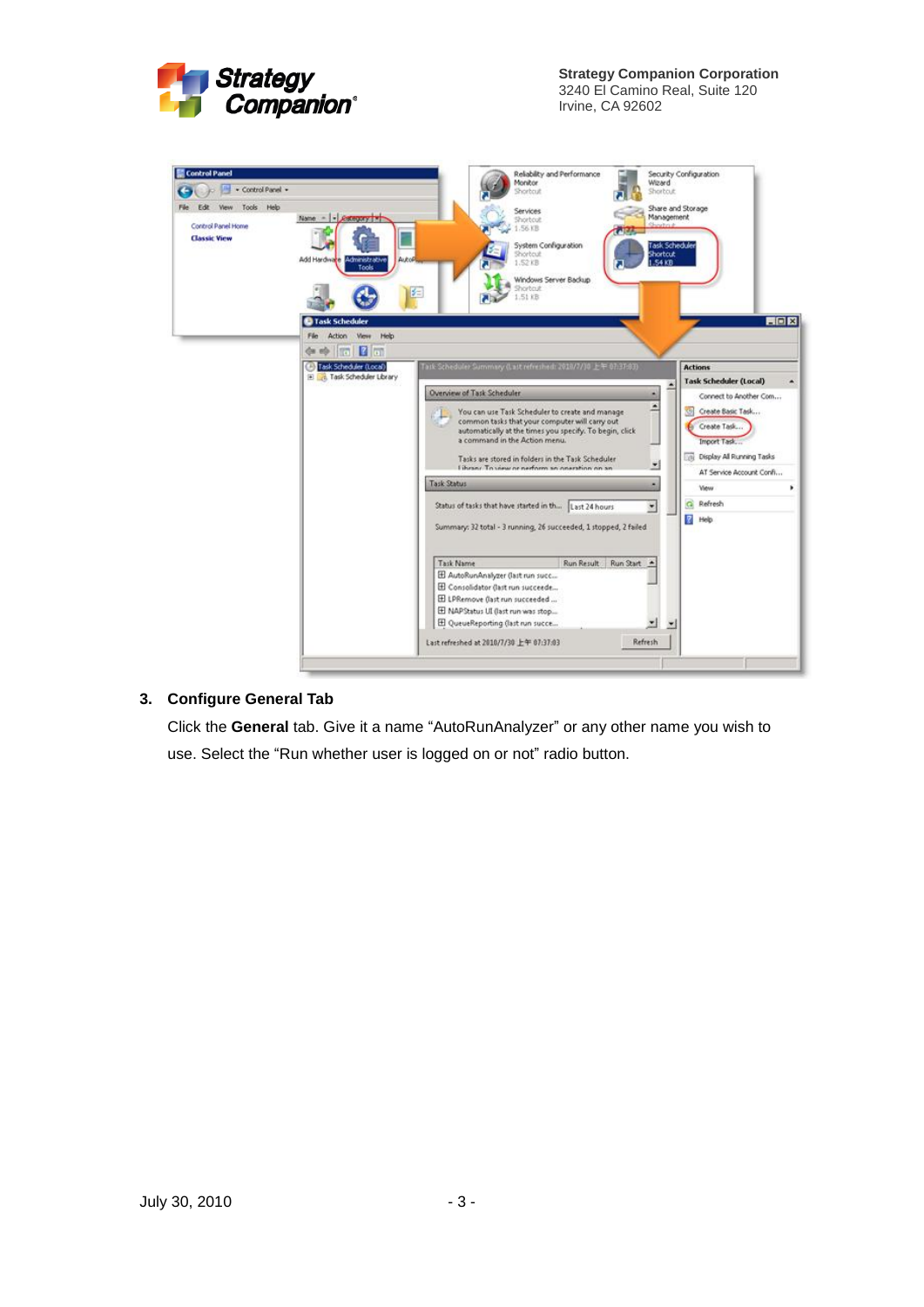

**Strategy Companion Corporation** 3240 El Camino Real, Suite 120 Irvine, CA 92602



#### **3. Configure General Tab**

Click the **General** tab. Give it a name "AutoRunAnalyzer" or any other name you wish to use. Select the "Run whether user is logged on or not" radio button.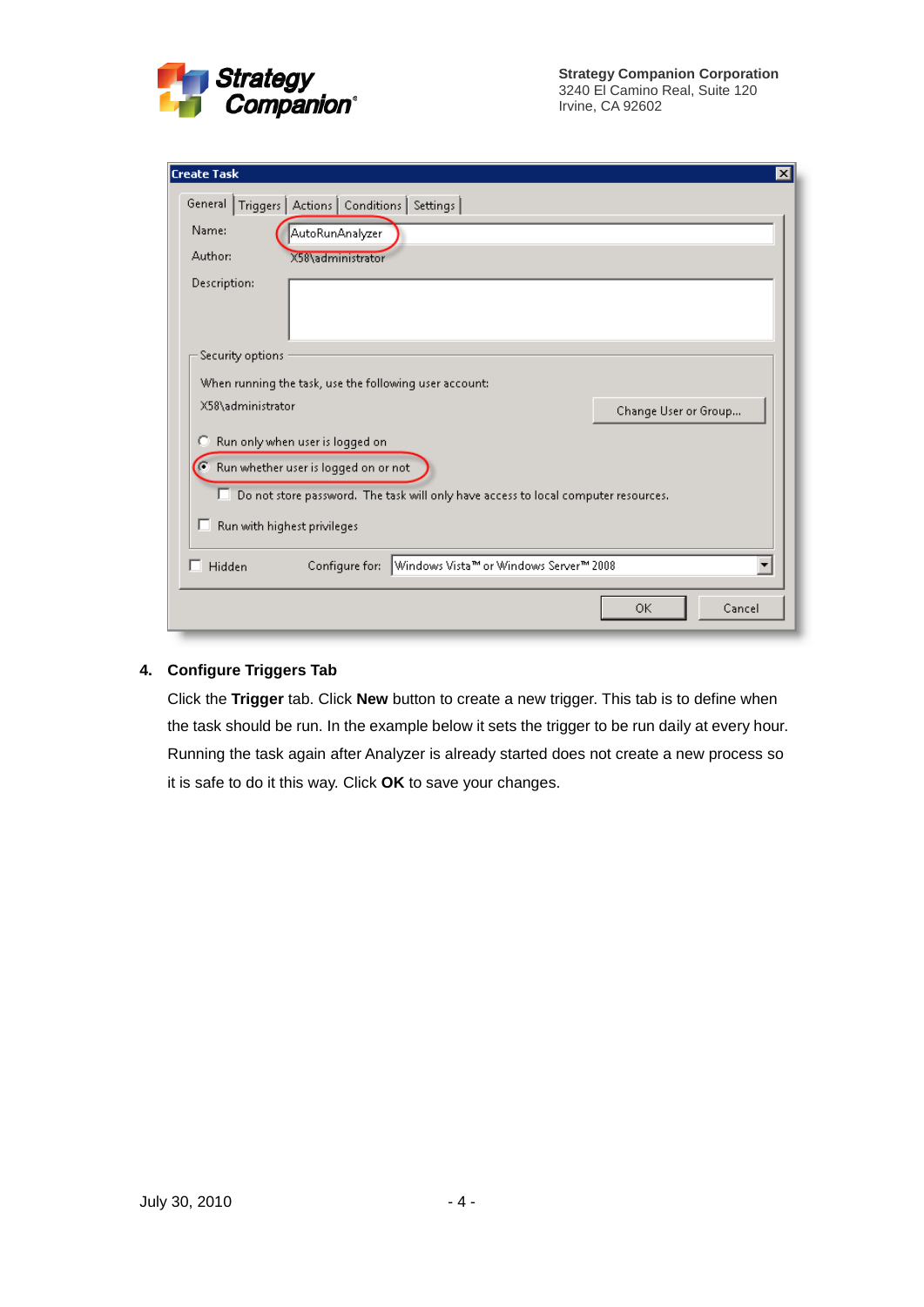

| <b>Create Task</b>                                                                      | $ \mathsf{x} $ |
|-----------------------------------------------------------------------------------------|----------------|
| General  <br>Triggers   Actions   Conditions   Settings                                 |                |
| Name:<br>AutoRunAnalyzer                                                                |                |
| Author:<br>X58\administrator                                                            |                |
| Description:                                                                            |                |
| Security options                                                                        |                |
| When running the task, use the following user account:                                  |                |
| X58\administrator<br>Change User or Group                                               |                |
| Run only when user is logged on<br>Ю                                                    |                |
| G<br>Run whether user is logged on or not                                               |                |
| п<br>Do not store password. The task will only have access to local computer resources. |                |
| Run with highest privileges<br>ш                                                        |                |
| Windows Vista™ or Windows Server™ 2008<br>Configure for:<br>Hidden                      |                |
| <b>OK</b><br>Cancel                                                                     |                |

#### **4. Configure Triggers Tab**

Click the **Trigger** tab. Click **New** button to create a new trigger. This tab is to define when the task should be run. In the example below it sets the trigger to be run daily at every hour. Running the task again after Analyzer is already started does not create a new process so it is safe to do it this way. Click **OK** to save your changes.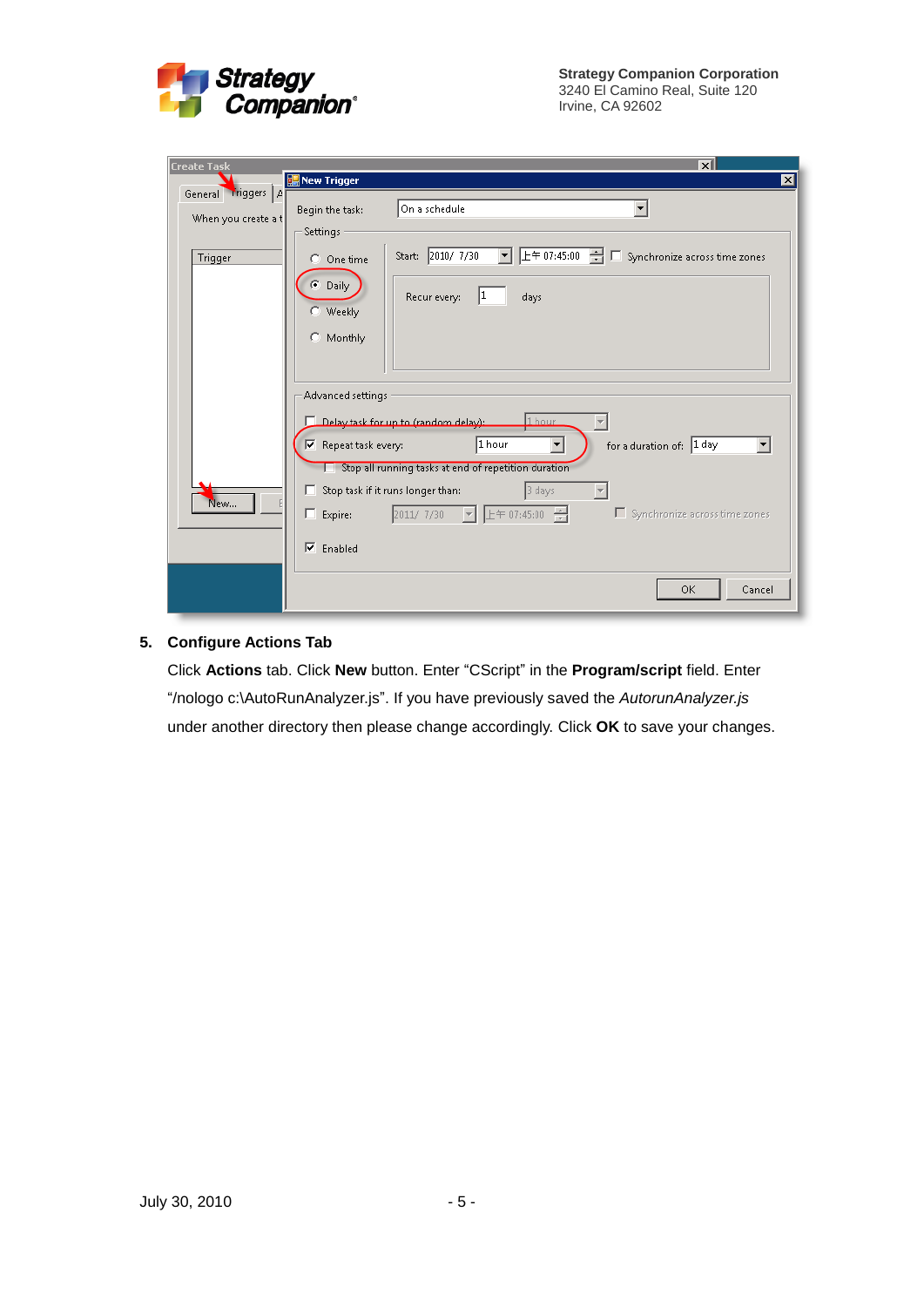

| <b>Create Task</b>                        | ᇄ                                                                                                                                                                                                                                                                                                                                                                                                                      |
|-------------------------------------------|------------------------------------------------------------------------------------------------------------------------------------------------------------------------------------------------------------------------------------------------------------------------------------------------------------------------------------------------------------------------------------------------------------------------|
|                                           | New Trigger<br>$\vert x \vert$                                                                                                                                                                                                                                                                                                                                                                                         |
| General Triggers A<br>When you create a t | On a schedule<br>Begin the task:<br>Settings                                                                                                                                                                                                                                                                                                                                                                           |
| <b>Trigger</b>                            | $E \oplus 07:45:00$ $\blacksquare$ Synchronize across time zones<br>Start: 2010/ 7/30<br>$\blacktriangledown$<br>C One time                                                                                                                                                                                                                                                                                            |
|                                           | C Daily<br>Recur every:<br>days<br>C Weekly<br>C Monthly                                                                                                                                                                                                                                                                                                                                                               |
|                                           | Advanced settings                                                                                                                                                                                                                                                                                                                                                                                                      |
| New                                       | 1 hour<br>Delay task for up to (random delay):<br>1 hour<br>for a duration of: 1 day<br>$\blacktriangledown$<br>$\overline{\triangledown}$ Repeat task every:<br>$\overline{\phantom{a}}$<br>Stop all running tasks at end of repetition duration<br>3 days<br>Stop task if it runs longer than:<br>п.<br>上午 07:45:00 一<br>2011/7/30<br>$\Box$ Synchronize across time zones<br>$\Box$ Expire:<br>$\vert \nabla \vert$ |
|                                           | $\overline{\triangledown}$ Enabled<br><b>OK</b><br>Cancel                                                                                                                                                                                                                                                                                                                                                              |

#### **5. Configure Actions Tab**

Click **Actions** tab. Click **New** button. Enter "CScript" in the **Program/script** field. Enter "/nologo c:\AutoRunAnalyzer.js". If you have previously saved the *AutorunAnalyzer.js* under another directory then please change accordingly. Click **OK** to save your changes.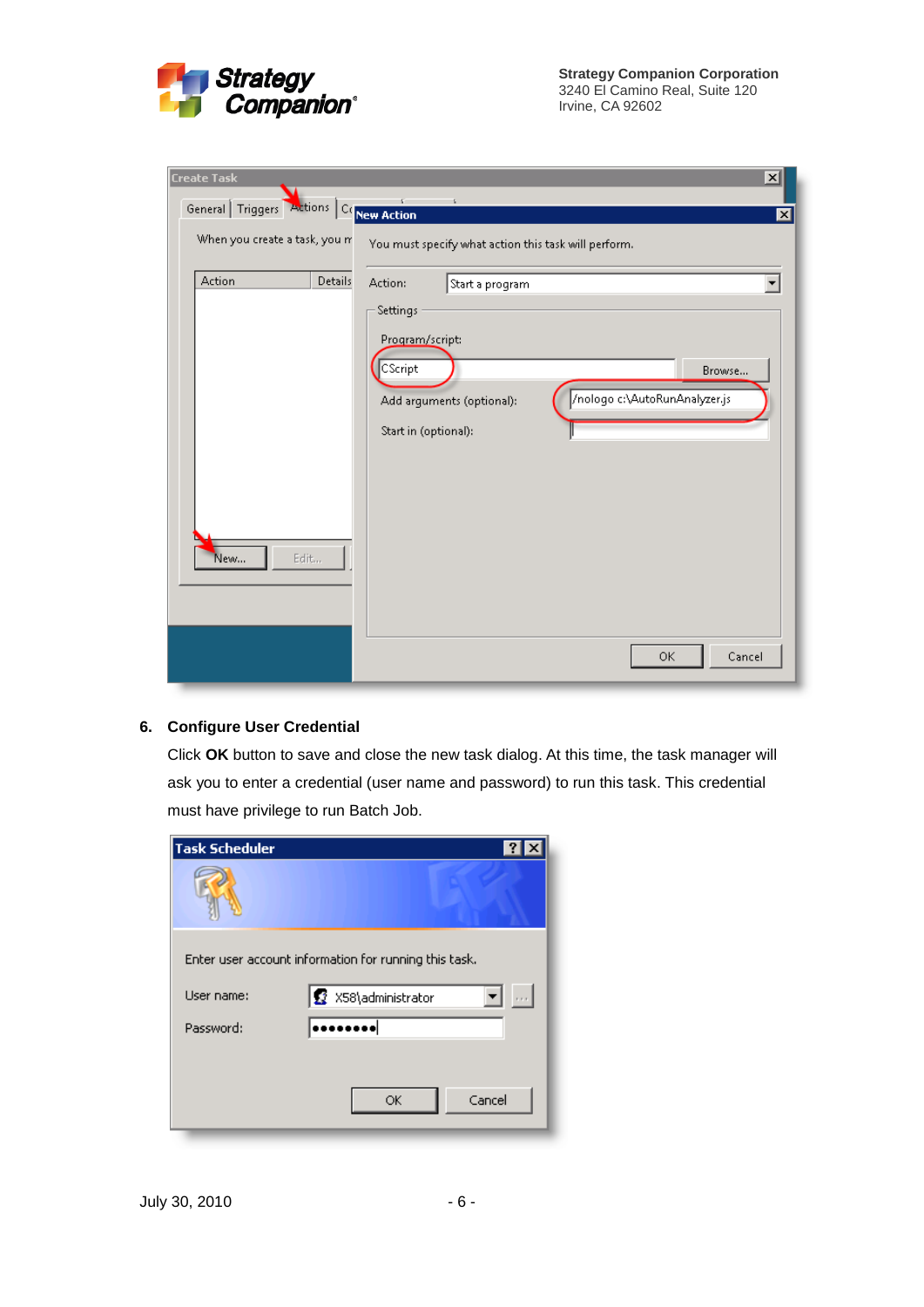

| <b>Create Task</b>                      | $\vert x \vert$                                                                                                            |
|-----------------------------------------|----------------------------------------------------------------------------------------------------------------------------|
| General Triggers Actions Concern Action | 図                                                                                                                          |
| When you create a task, you m           | You must specify what action this task will perform.                                                                       |
| Action<br>Details                       | Action:<br>Start a program<br>Settings                                                                                     |
|                                         | Program/script:<br>CScript<br>Browse<br>/nologo c:\AutoRunAnalyzer.js<br>Add arguments (optional):<br>Start in (optional): |
| New<br>Edit                             |                                                                                                                            |
|                                         | 0K<br>Cancel                                                                                                               |

#### **6. Configure User Credential**

Click **OK** button to save and close the new task dialog. At this time, the task manager will ask you to enter a credential (user name and password) to run this task. This credential must have privilege to run Batch Job.

| <b>Task Scheduler</b> |                                                       |
|-----------------------|-------------------------------------------------------|
|                       |                                                       |
|                       | Enter user account information for running this task. |
| User name:            | X58\administrator                                     |
| Password:             |                                                       |
|                       |                                                       |
|                       | Cancel<br>ОK                                          |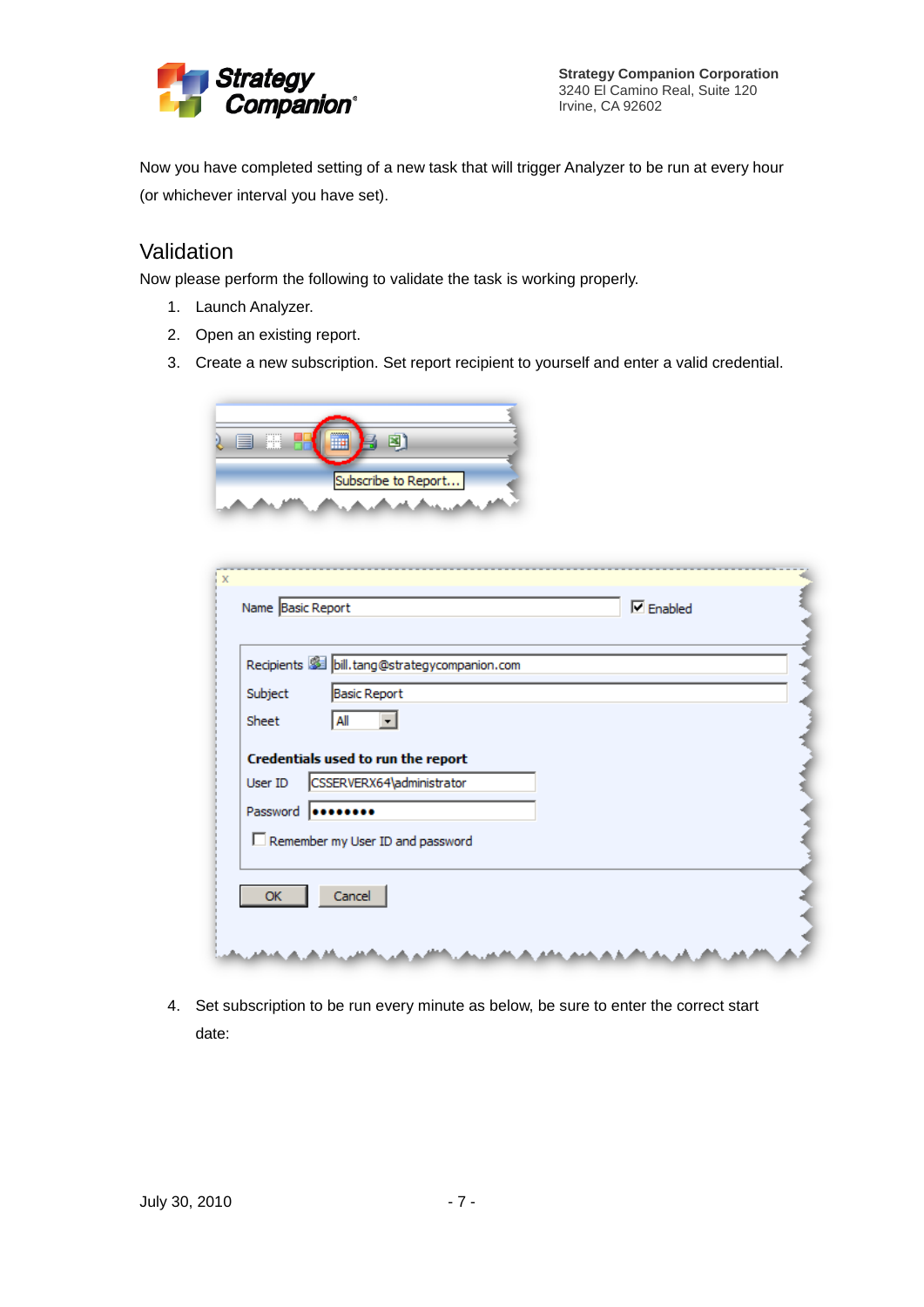

**Strategy Companion Corporation** 3240 El Camino Real, Suite 120 Irvine, CA 92602

Now you have completed setting of a new task that will trigger Analyzer to be run at every hour (or whichever interval you have set).

## Validation

Now please perform the following to validate the task is working properly.

- 1. Launch Analyzer.
- 2. Open an existing report.
- 3. Create a new subscription. Set report recipient to yourself and enter a valid credential.



|          | Recipients <b>SEE</b> bill.tang@strategycompanion.com           |  |
|----------|-----------------------------------------------------------------|--|
| Subject  | <b>Basic Report</b>                                             |  |
| Sheet    | All                                                             |  |
| User ID  | Credentials used to run the report<br>CSSERVERX64\administrator |  |
| Password | Remember my User ID and password                                |  |

4. Set subscription to be run every minute as below, be sure to enter the correct start date: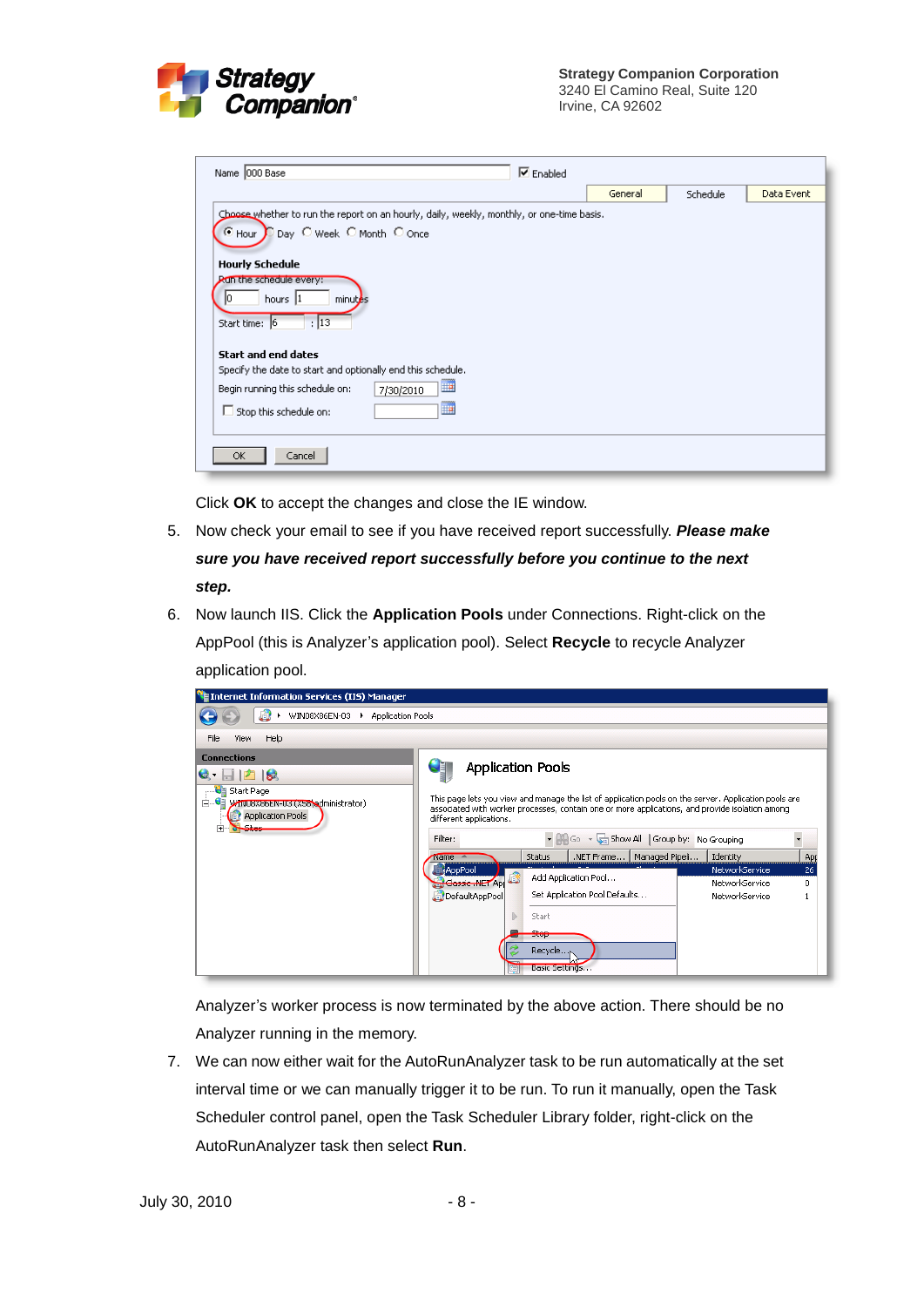

| $\nabla$ Enabled<br>Name 000 Base                                                         |         |          |            |
|-------------------------------------------------------------------------------------------|---------|----------|------------|
|                                                                                           | General | Schedule | Data Event |
| Choose whether to run the report on an hourly, daily, weekly, monthly, or one-time basis. |         |          |            |
| C Hour D Day C Week C Month C Once                                                        |         |          |            |
| <b>Hourly Schedule</b>                                                                    |         |          |            |
| Run the schedule every:<br>hours 1<br>minutes                                             |         |          |            |
| : 13<br>Start time: 6                                                                     |         |          |            |
| <b>Start and end dates</b>                                                                |         |          |            |
| Specify the date to start and optionally end this schedule.                               |         |          |            |
| <b>HP</b><br>Begin running this schedule on:<br>7/30/2010                                 |         |          |            |
| H<br>$\Box$ Stop this schedule on:                                                        |         |          |            |
| Cancel<br>OK.                                                                             |         |          |            |

Click **OK** to accept the changes and close the IE window.

- 5. Now check your email to see if you have received report successfully. *Please make sure you have received report successfully before you continue to the next step.*
- 6. Now launch IIS. Click the **Application Pools** under Connections. Right-click on the AppPool (this is Analyzer's application pool). Select **Recycle** to recycle Analyzer application pool.



Analyzer's worker process is now terminated by the above action. There should be no Analyzer running in the memory.

7. We can now either wait for the AutoRunAnalyzer task to be run automatically at the set interval time or we can manually trigger it to be run. To run it manually, open the Task Scheduler control panel, open the Task Scheduler Library folder, right-click on the AutoRunAnalyzer task then select **Run**.